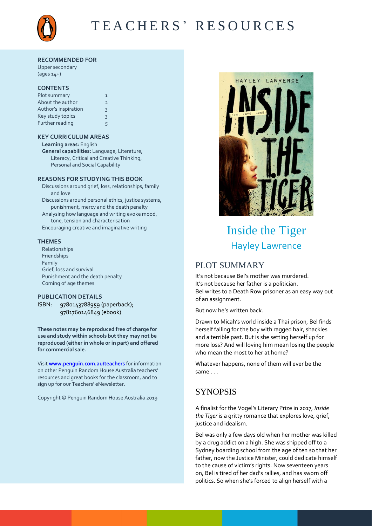

# TEACHERS' RESOURCES

#### **RECOMMENDED FOR**

Upper secondary (ages 14+)

#### **CONTENTS**

| Plot summary         | 1 |
|----------------------|---|
| About the author     | 2 |
| Author's inspiration | 3 |
| Key study topics     | 3 |
| Further reading      | 5 |

### **KEY CURRICULUM AREAS**

**Learning areas:** English **General capabilities:** Language, Literature, Literacy, Critical and Creative Thinking, Personal and Social Capability

### **REASONS FOR STUDYING THIS BOOK**

Discussions around grief, loss, relationships, family and love Discussions around personal ethics, justice systems, punishment, mercy and the death penalty Analysing how language and writing evoke mood, tone, tension and characterisation Encouraging creative and imaginative writing

#### **THEMES**

Relationships Friendships Family Grief, loss and survival Punishment and the death penalty Coming of age themes

### **PUBLICATION DETAILS**

ISBN: 9780143788959 (paperback); 9781760146849 (ebook)

**These notes may be reproduced free of charge for use and study within schools but they may not be reproduced (either in whole or in part) and offered for commercial sale.** 

Visit **[www.penguin.com.au/teachers](http://www.penguin.com.au/teachers)** for information on other Penguin Random House Australia teachers' resources and great books for the classroom, and to sign up for our Teachers' eNewsletter.

Copyright © Penguin Random House Australia 2019



# Inside the Tiger Hayley Lawrence

## PLOT SUMMARY

It's not because Bel's mother was murdered. It's not because her father is a politician. Bel writes to a Death Row prisoner as an easy way out of an assignment.

But now he's written back.

Drawn to Micah's world inside a Thai prison, Bel finds herself falling for the boy with ragged hair, shackles and a terrible past. But is she setting herself up for more loss? And will loving him mean losing the people who mean the most to her at home?

Whatever happens, none of them will ever be the same . . .

## **SYNOPSIS**

A finalist for the Vogel's Literary Prize in 2017, *Inside the Tiger* is a gritty romance that explores love, grief, justice and idealism.

Bel was only a few days old when her mother was killed by a drug addict on a high. She was shipped off to a Sydney boarding school from the age of ten so that her father, now the Justice Minister, could dedicate himself to the cause of victim's rights. Now seventeen years on, Bel is tired of her dad's rallies, and has sworn off politics. So when she's forced to align herself with a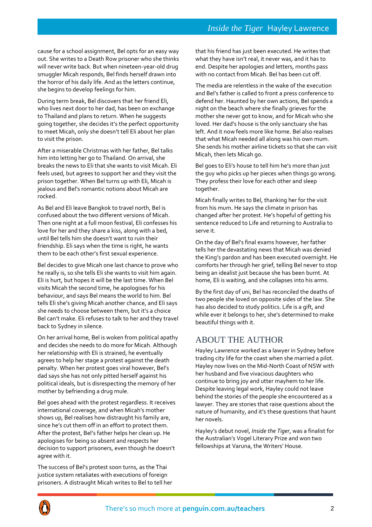cause for a school assignment, Bel opts for an easy way out. She writes to a Death Row prisoner who she thinks will never write back. But when nineteen-year-old drug smuggler Micah responds, Bel finds herself drawn into the horror of his daily life. And as the letters continue, she begins to develop feelings for him.

During term break, Bel discovers that her friend Eli, who lives next door to her dad, has been on exchange to Thailand and plans to return. When he suggests going together, she decides it's the perfect opportunity to meet Micah, only she doesn't tell Eli about her plan to visit the prison.

After a miserable Christmas with her father, Bel talks him into letting her go to Thailand. On arrival, she breaks the news to Eli that she wants to visit Micah. Eli feels used, but agrees to support her and they visit the prison together. When Bel turns up with Eli, Micah is jealous and Bel's romantic notions about Micah are rocked.

As Bel and Eli leave Bangkok to travel north, Bel is confused about the two different versions of Micah. Then one night at a full moon festival, Eli confesses his love for her and they share a kiss, along with a bed, until Bel tells him she doesn't want to ruin their friendship. Eli says when the time is right, he wants them to be each other's first sexual experience.

Bel decides to give Micah one last chance to prove who he really is, so she tells Eli she wants to visit him again. Eli is hurt, but hopes it will be the last time. When Bel visits Micah the second time, he apologises for his behaviour, and says Bel means the world to him. Bel tells Eli she's giving Micah another chance, and Eli says she needs to choose between them, but it's a choice Bel can't make. Eli refuses to talk to her and they travel back to Sydney in silence.

On her arrival home, Bel is woken from political apathy and decides she needs to do more for Micah. Although her relationship with Eli is strained, he eventually agrees to help her stage a protest against the death penalty. When her protest goes viral however, Bel's dad says she has not only pitted herself against his political ideals, but is disrespecting the memory of her mother by befriending a drug mule.

Bel goes ahead with the protest regardless. It receives international coverage, and when Micah's mother shows up, Bel realises how distraught his family are, since he's cut them off in an effort to protect them. After the protest, Bel's father helps her clean up. He apologises for being so absent and respects her decision to support prisoners, even though he doesn't agree with it.

The success of Bel's protest soon turns, as the Thai justice system retaliates with executions of foreign prisoners. A distraught Micah writes to Bel to tell her

that his friend has just been executed. He writes that what they have isn't real, it never was, and it has to end. Despite her apologies and letters, months pass with no contact from Micah. Bel has been cut off.

The media are relentless in the wake of the execution and Bel's father is called to front a press conference to defend her. Haunted by her own actions, Bel spends a night on the beach where she finally grieves for the mother she never got to know, and for Micah who she loved. Her dad's house is the only sanctuary she has left. And it now feels more like home. Bel also realises that what Micah needed all along was his own mum. She sends his mother airline tickets so that she can visit Micah, then lets Micah go.

Bel goes to Eli's house to tell him he's more than just the guy who picks up her pieces when things go wrong. They profess their love for each other and sleep together.

Micah finally writes to Bel, thanking her for the visit from his mum. He says the climate in prison has changed after her protest. He's hopeful of getting his sentence reduced to Life and returning to Australia to serve it.

On the day of Bel's final exams however, her father tells her the devastating news that Micah was denied the King's pardon and has been executed overnight. He comforts her through her grief, telling Bel never to stop being an idealist just because she has been burnt. At home, Eli is waiting, and she collapses into his arms.

By the first day of uni, Bel has reconciled the deaths of two people she loved on opposite sides of the law. She has also decided to study politics. Life is a gift, and while ever it belongs to her, she's determined to make beautiful things with it.

## ABOUT THE AUTHOR

Hayley Lawrence worked as a lawyer in Sydney before trading city life for the coast when she married a pilot. Hayley now lives on the Mid-North Coast of NSW with her husband and five vivacious daughters who continue to bring joy and utter mayhem to her life. Despite leaving legal work, Hayley could not leave behind the stories of the people she encountered as a lawyer. They are stories that raise questions about the nature of humanity, and it's these questions that haunt her novels.

Hayley's debut novel, *Inside the Tiger*, was a finalist for the Australian's Vogel Literary Prize and won two fellowships at Varuna, the Writers' House.

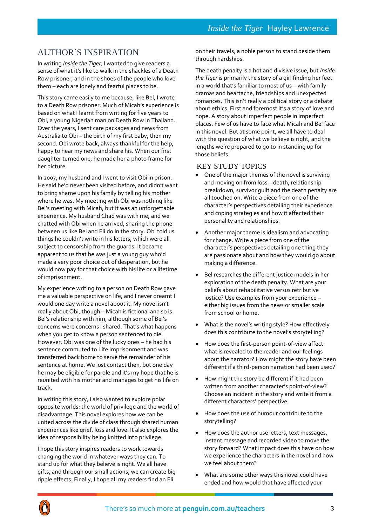## AUTHOR'S INSPIRATION

In writing *Inside the Tiger,* I wanted to give readers a sense of what it's like to walk in the shackles of a Death Row prisoner, and in the shoes of the people who love them – each are lonely and fearful places to be.

This story came easily to me because, like Bel, I wrote to a Death Row prisoner. Much of Micah's experience is based on what I learnt from writing for five years to Obi, a young Nigerian man on Death Row in Thailand. Over the years, I sent care packages and news from Australia to Obi – the birth of my first baby, then my second. Obi wrote back, always thankful for the help, happy to hear my news and share his. When our first daughter turned one, he made her a photo frame for her picture.

In 2007, my husband and I went to visit Obi in prison. He said he'd never been visited before, and didn't want to bring shame upon his family by telling his mother where he was. My meeting with Obi was nothing like Bel's meeting with Micah, but it was an unforgettable experience. My husband Chad was with me, and we chatted with Obi when he arrived, sharing the phone between us like Bel and Eli do in the story. Obi told us things he couldn't write in his letters, which were all subject to censorship from the guards. It became apparent to us that he was just a young guy who'd made a very poor choice out of desperation, but he would now pay for that choice with his life or a lifetime of imprisonment.

My experience writing to a person on Death Row gave me a valuable perspective on life, and I never dreamt I would one day write a novel about it. My novel isn't really about Obi, though – Micah is fictional and so is Bel's relationship with him, although some of Bel's concerns were concerns I shared. That's what happens when you get to know a person sentenced to die. However, Obi was one of the lucky ones – he had his sentence commuted to Life Imprisonment and was transferred back home to serve the remainder of his sentence at home. We lost contact then, but one day he may be eligible for parole and it's my hope that he is reunited with his mother and manages to get his life on track.

In writing this story, I also wanted to explore polar opposite worlds: the world of privilege and the world of disadvantage. This novel explores how we can be united across the divide of class through shared human experiences like grief, loss and love. It also explores the idea of responsibility being knitted into privilege.

I hope this story inspires readers to work towards changing the world in whatever ways they can. To stand up for what they believe is right. We all have gifts, and through our small actions, we can create big ripple effects. Finally, I hope all my readers find an Eli

on their travels, a noble person to stand beside them through hardships.

The death penalty is a hot and divisive issue, but *Inside the Tiger* is primarily the story of a girl finding her feet in a world that's familiar to most of us – with family dramas and heartache, friendships and unexpected romances. This isn't really a political story or a debate about ethics. First and foremost it's a story of love and hope. A story about imperfect people in imperfect places. Few of us have to face what Micah and Bel face in this novel. But at some point, we all have to deal with the question of what we believe is right, and the lengths we're prepared to go to in standing up for those beliefs.

## KEY STUDY TOPICS

- One of the major themes of the novel is surviving and moving on from loss – death, relationship breakdown, survivor guilt and the death penalty are all touched on. Write a piece from one of the character's perspectives detailing their experience and coping strategies and how it affected their personality and relationships.
- Another major theme is idealism and advocating for change. Write a piece from one of the character's perspectives detailing one thing they are passionate about and how they would go about making a difference.
- Bel researches the different justice models in her exploration of the death penalty. What are your beliefs about rehabilitative versus retributive justice? Use examples from your experience – either big issues from the news or smaller scale from school or home.
- What is the novel's writing style? How effectively does this contribute to the novel's storytelling?
- How does the first-person point-of-view affect what is revealed to the reader and our feelings about the narrator? How might the story have been different if a third-person narration had been used?
- How might the story be different if it had been written from another character's point-of-view? Choose an incident in the story and write it from a different characters' perspective.
- How does the use of humour contribute to the storytelling?
- How does the author use letters, text messages, instant message and recorded video to move the story forward? What impact does this have on how we experience the characters in the novel and how we feel about them?
- What are some other ways this novel could have ended and how would that have affected your

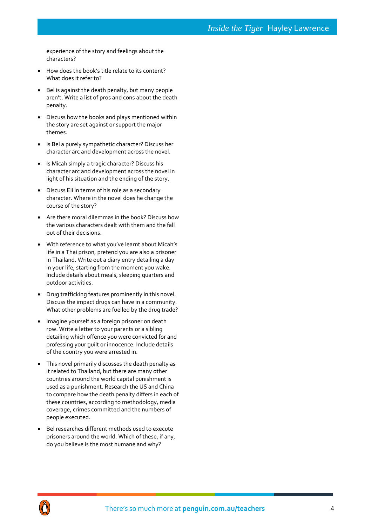## *Inside the Tiger* Hayley Lawrence

experience of the story and feelings about the characters?

- How does the book's title relate to its content? What does it refer to?
- Bel is against the death penalty, but many people aren't. Write a list of pros and cons about the death penalty.
- Discuss how the books and plays mentioned within the story are set against or support the major themes.
- Is Bel a purely sympathetic character? Discuss her character arc and development across the novel.
- Is Micah simply a tragic character? Discuss his character arc and development across the novel in light of his situation and the ending of the story.
- Discuss Eli in terms of his role as a secondary character. Where in the novel does he change the course of the story?
- Are there moral dilemmas in the book? Discuss how the various characters dealt with them and the fall out of their decisions.
- With reference to what you've learnt about Micah's life in a Thai prison, pretend you are also a prisoner in Thailand. Write out a diary entry detailing a day in your life, starting from the moment you wake. Include details about meals, sleeping quarters and outdoor activities.
- Drug trafficking features prominently in this novel. Discuss the impact drugs can have in a community. What other problems are fuelled by the drug trade?
- Imagine yourself as a foreign prisoner on death row. Write a letter to your parents or a sibling detailing which offence you were convicted for and professing your guilt or innocence. Include details of the country you were arrested in.
- This novel primarily discusses the death penalty as it related to Thailand, but there are many other countries around the world capital punishment is used as a punishment. Research the US and China to compare how the death penalty differs in each of these countries, according to methodology, media coverage, crimes committed and the numbers of people executed.
- Bel researches different methods used to execute prisoners around the world. Which of these, if any, do you believe is the most humane and why?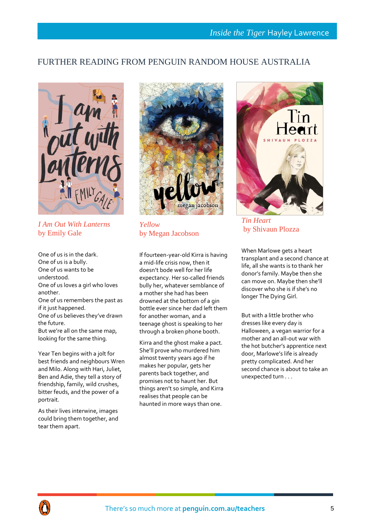## FURTHER READING FROM PENGUIN RANDOM HOUSE AUSTRALIA



*I Am Out With Lanterns* by Emily Gale

One of us is in the dark. One of us is a bully. One of us wants to be understood. One of us loves a girl who loves another. One of us remembers the past as if it just happened. One of us believes they've drawn the future. But we're all on the same map, looking for the same thing.

Year Ten begins with a jolt for best friends and neighbours Wren and Milo. Along with Hari, Juliet, Ben and Adie, they tell a story of friendship, family, wild crushes, bitter feuds, and the power of a portrait.

As their lives interwine, images could bring them together, and tear them apart.



*Yellow* by Megan Jacobson

If fourteen-year-old Kirra is having a mid-life crisis now, then it doesn't bode well for her life expectancy. Her so-called friends bully her, whatever semblance of a mother she had has been drowned at the bottom of a gin bottle ever since her dad left them for another woman, and a teenage ghost is speaking to her through a broken phone booth.

Kirra and the ghost make a pact. She'll prove who murdered him almost twenty years ago if he makes her popular, gets her parents back together, and promises not to haunt her. But things aren't so simple, and Kirra realises that people can be haunted in more ways than one.



*Tin Heart* by Shivaun Plozza

When Marlowe gets a heart transplant and a second chance at life, all she wants is to thank her donor's family. Maybe then she can move on. Maybe then she'll discover who she is if she's no longer The Dying Girl.

But with a little brother who dresses like every day is Halloween, a vegan warrior for a mother and an all-out war with the hot butcher's apprentice next door, Marlowe's life is already pretty complicated. And her second chance is about to take an unexpected turn . . .